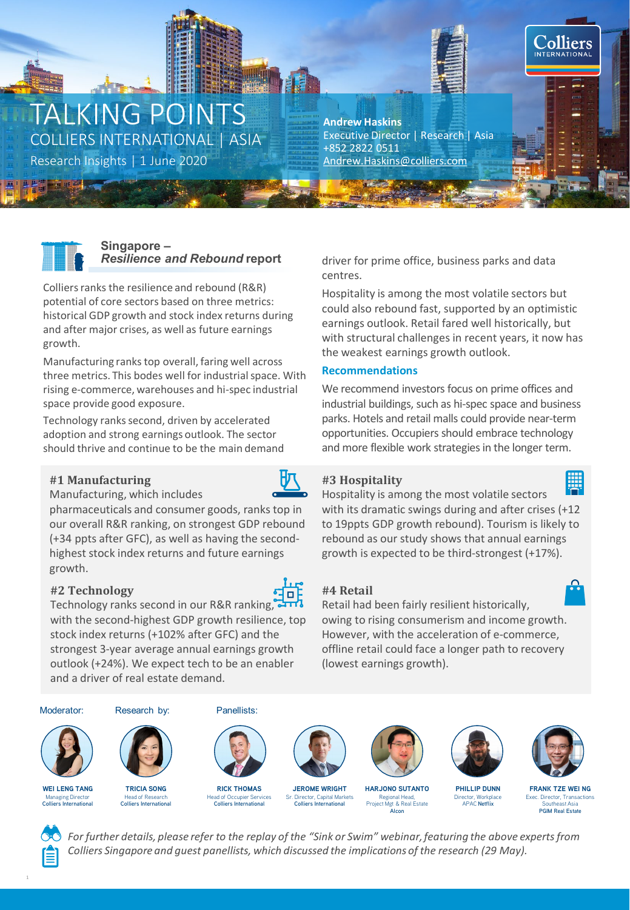# TALKING POINTS COLLIERS INTERNATIONAL | ASIA

Research Insights | 1 June 2020 [Andrew.Haskins@colliers.com](mailto:Andrew.Haskins@colliers.com)

**Andrew Haskins** Executive Director | Research | Asia +852 2822 0511



## **Singapore –** *Resilience and Rebound* **report**

Colliers ranks the resilience and rebound (R&R) potential of core sectors based on three metrics: historical GDP growth and stock index returns during and after major crises, as well as future earnings growth.

Manufacturing ranks top overall, faring well across three metrics. This bodes well for industrial space. With rising e-commerce, warehouses and hi-spec industrial space provide good exposure.

Technology ranks second, driven by accelerated adoption and strong earnings outlook. The sector should thrive and continue to be the main demand

#### **#1 Manufacturing**



Manufacturing, which includes

pharmaceuticals and consumer goods, ranks top in our overall R&R ranking, on strongest GDP rebound (+34 ppts after GFC), as well as having the secondhighest stock index returns and future earnings growth.

## **#2 Technology**



Technology ranks second in our R&R ranking, with the second-highest GDP growth resilience, top stock index returns (+102% after GFC) and the strongest 3-year average annual earnings growth outlook (+24%). We expect tech to be an enabler and a driver of real estate demand.

driver for prime office, business parks and data centres.

Hospitality is among the most volatile sectors but could also rebound fast, supported by an optimistic earnings outlook. Retail fared well historically, but with structural challenges in recent years, it now has the weakest earnings growth outlook.

## **Recommendations**

We recommend investors focus on prime offices and industrial buildings, such as hi-spec space and business parks. Hotels and retail malls could provide near-term opportunities. Occupiers should embrace technology and more flexible work strategies in the longer term.

# **#3 Hospitality**



₽

**Colliers INTERNATION** 

Hospitality is among the most volatile sectors with its dramatic swings during and after crises (+12 to 19ppts GDP growth rebound). Tourism is likely to rebound as our study shows that annual earnings growth is expected to be third-strongest (+17%).

# **#4 Retail**

Retail had been fairly resilient historically, owing to rising consumerism and income growth. However, with the acceleration of e-commerce, offline retail could face a longer path to recovery (lowest earnings growth).



For further details, please refer to the replay of the "Sink or Swim" webinar, featuring the above experts from *Colliers Singapore and guest panellists, which discussed the implications of the research (29 May).*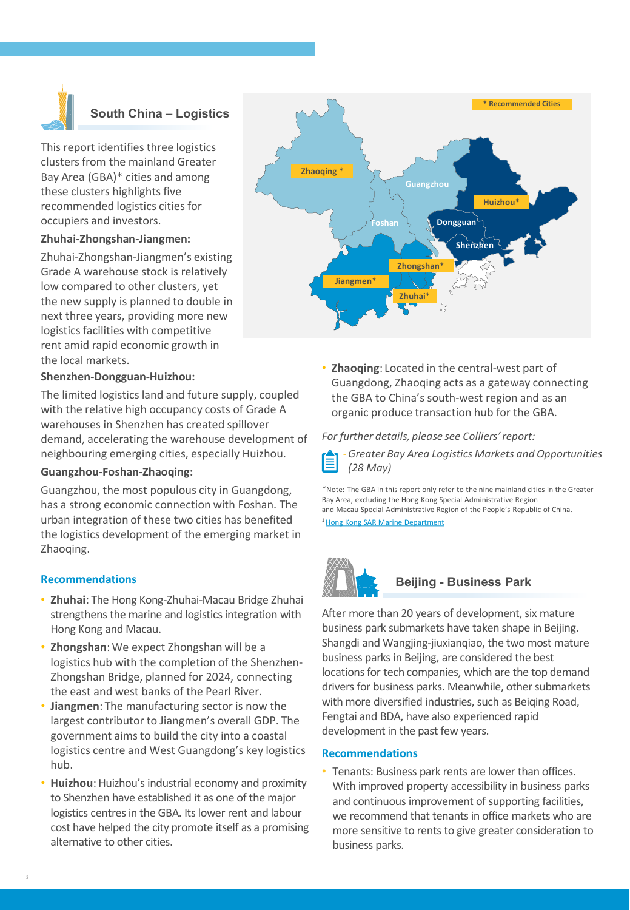

## **South China – Logistics**

This report identifies three logistics clusters from the mainland Greater Bay Area (GBA)\* cities and among these clusters highlights five recommended logistics cities for occupiers and investors.

#### **Zhuhai-Zhongshan-Jiangmen:**

Zhuhai-Zhongshan-Jiangmen's existing Grade A warehouse stock is relatively low compared to other clusters, yet the new supply is planned to double in next three years, providing more new logistics facilities with competitive rent amid rapid economic growth in the local markets.

#### **Shenzhen-Dongguan-Huizhou:**

The limited logistics land and future supply, coupled with the relative high occupancy costs of Grade A warehouses in Shenzhen has created spillover demand, accelerating the warehouse development of neighbouring emerging cities, especially Huizhou.

#### **Guangzhou-Foshan-Zhaoqing:**

Guangzhou, the most populous city in Guangdong, has a strong economic connection with Foshan. The urban integration of these two cities has benefited the logistics development of the emerging market in Zhaoqing.

#### **Recommendations**

- **Zhuhai**: The Hong Kong-Zhuhai-Macau Bridge Zhuhai strengthens the marine and logistics integration with Hong Kong and Macau.
- **Zhongshan**:We expect Zhongshan will be a logistics hub with the completion of the Shenzhen-Zhongshan Bridge, planned for 2024, connecting the east and west banks of the Pearl River.
- **Jiangmen**: The manufacturing sector is now the largest contributor to Jiangmen's overall GDP. The government aims to build the city into a coastal logistics centre and West Guangdong's key logistics hub.
- **Huizhou**: Huizhou's industrial economy and proximity to Shenzhen have established it as one of the major logistics centres in the GBA. Its lower rent and labour cost have helped the city promote itself as a promising alternative to other cities.



• **Zhaoqing**: Located in the central-west part of Guangdong, Zhaoqing acts as a gateway connecting the GBA to China's south-west region and as an organic produce transaction hub for the GBA.

#### *For further details, please see Colliers' report:*



\*Note: The GBA in this report only refer to the nine mainland cities in the Greater Bay Area, excluding the Hong Kong Special Administrative Region and Macau Special Administrative Region of the People's Republic of China.

1 [Hong Kong SAR Marine Department](https://www.mardep.gov.hk/en/publication/pdf/portstat_2_y_b5.pdf)



#### **Beijing - Business Park**

After more than 20 years of development, six mature business park submarkets have taken shape in Beijing. Shangdi and Wangjing-jiuxianqiao, the two most mature business parks in Beijing, are considered the best locations for tech companies, which are the top demand drivers for business parks. Meanwhile, other submarkets with more diversified industries, such as Beiqing Road, Fengtai and BDA, have also experienced rapid development in the past few years.

#### **Recommendations**

• Tenants: Business park rents are lower than offices. With improved property accessibility in business parks and continuous improvement of supporting facilities, we recommend that tenants in office markets who are more sensitive to rents to give greater consideration to business parks.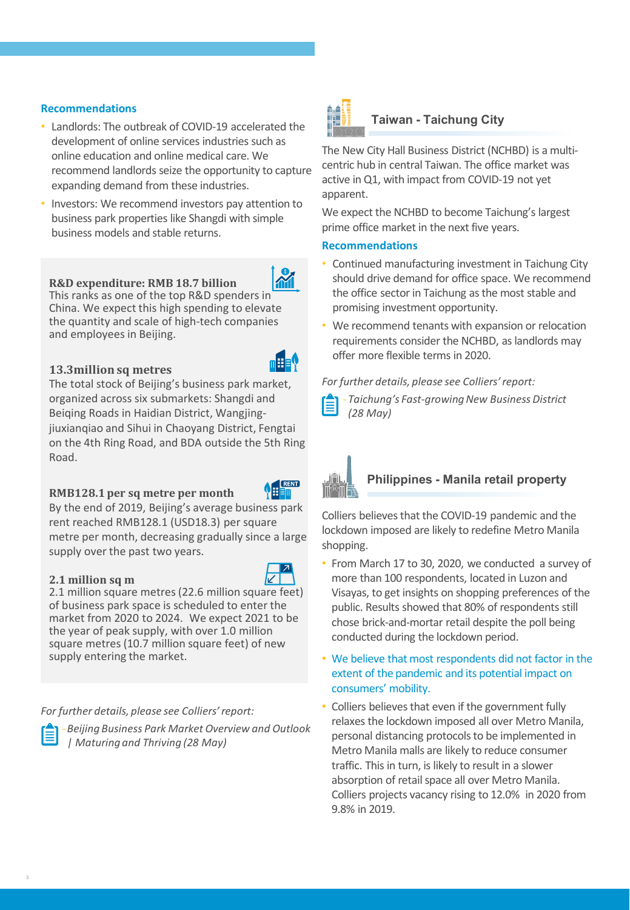- Landlords: The outbreak of COVID-19 accelerated the development of online services industries such as online education and online medical care. We recommend landlords seize the opportunity to capture expanding demand from these industries.
- Investors: We recommend investors pay attention to business park properties like Shangdi with simple business models and stable returns.

#### **R&D expenditure: RMB 18.7 billion**

This ranks as one of the top R&D spenders in China. We expect this high spending to elevate the quantity and scale of high-tech companies and employees in Beijing.

#### **13.3million sq metres**

The total stock of Beijing's business park market, organized across six submarkets: Shangdi and Beiqing Roads in Haidian District, Wangjingjiuxianqiao and Sihui in Chaoyang District, Fengtai on the 4th Ring Road, and BDA outside the 5th Ring Road.

#### **RMB128.1 per sq metre per month**

By the end of 2019, Beijing's average business park rent reached RMB128.1 (USD18.3) per square metre per month, decreasing gradually since a large supply over the past two years.

#### **2.1 million sq m**

2.1 million square metres (22.6 million square feet) of business park space is scheduled to enter the market from 2020 to 2024. We expect 2021 to be the year of peak supply, with over 1.0 million square metres (10.7 million square feet) of new supply entering the market.

*For further details, please see Colliers' report:*



-*Beijing Business Park Market Overview and Outlook | Maturing and Thriving (28 May)*



#### **Taiwan - Taichung City**

The New City Hall Business District (NCHBD) is a multicentric hub in central Taiwan. The office market was active in Q1, with impact from COVID-19 not yet apparent.

We expect the NCHBD to become Taichung's largest prime office market in the next five years.

#### **Recommendations**

- Continued manufacturing investment in Taichung City should drive demand for office space. We recommend the office sector in Taichung as the most stable and promising investment opportunity.
- We recommend tenants with expansion or relocation requirements consider the NCHBD, as landlords may offer more flexible terms in 2020.

#### *For further details, please see Colliers' report:*

- *Taichung's Fast-growing New Business District (28 May)*



E RENT

## **Philippines - Manila retail property**

Colliers believes that the COVID-19 pandemic and the lockdown imposed are likely to redefine Metro Manila shopping.

- From March 17 to 30, 2020, we conducted a survey of more than 100 respondents, located in Luzon and Visayas, to get insights on shopping preferences of the public. Results showed that 80% of respondents still chose brick-and-mortar retail despite the poll being conducted during the lockdown period.
- We believe that most respondents did not factor in the extent of the pandemic and its potential impact on consumers' mobility.
- Colliers believes that even if the government fully relaxes the lockdown imposed all over Metro Manila, personal distancing protocols to be implemented in Metro Manila malls are likely to reduce consumer traffic. This in turn, is likely to result in a slower absorption of retail space all over Metro Manila. Colliers projects vacancy rising to 12.0% in 2020 from 9.8% in 2019.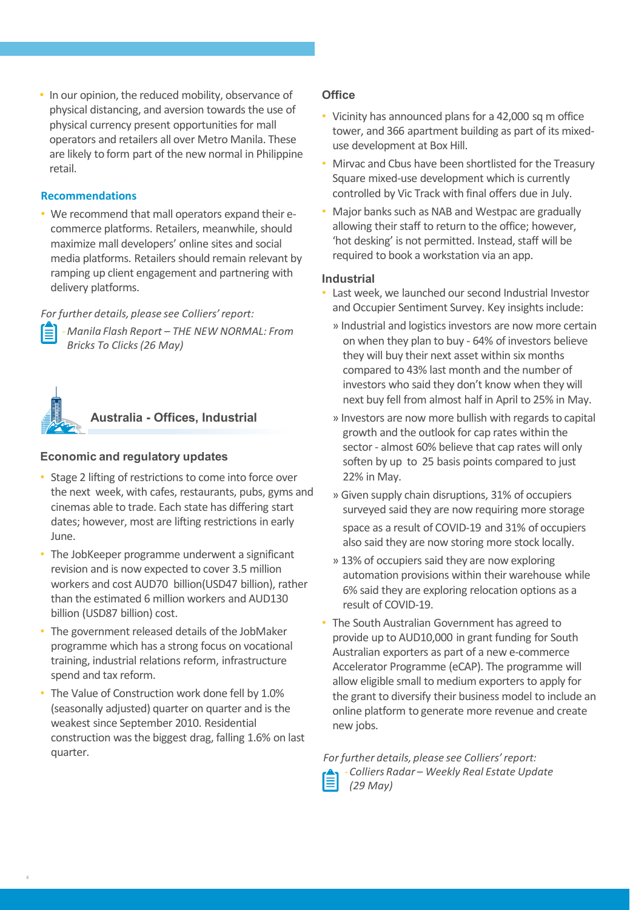• In our opinion, the reduced mobility, observance of physical distancing, and aversion towards the use of physical currency present opportunities for mall operators and retailers all over Metro Manila. These are likely to form part of the new normal in Philippine retail.

#### **Recommendations**

• We recommend that mall operators expand their ecommerce platforms. Retailers, meanwhile, should maximize mall developers' online sites and social media platforms. Retailers should remain relevant by ramping up client engagement and partnering with delivery platforms.

*For further details, please see Colliers' report:*



**Australia - Offices, Industrial**



- Stage 2 lifting of restrictions to come into force over the next week, with cafes, restaurants, pubs, gyms and cinemas able to trade. Each state has differing start dates; however, most are lifting restrictions in early June.
- The JobKeeper programme underwent a significant revision and is now expected to cover 3.5 million workers and cost AUD70 billion(USD47 billion), rather than the estimated 6 million workers and AUD130 billion (USD87 billion) cost.
- The government released details of the JobMaker programme which has a strong focus on vocational training, industrial relations reform, infrastructure spend and tax reform.
- The Value of Construction work done fell by 1.0% (seasonally adjusted) quarter on quarter and is the weakest since September 2010. Residential construction was the biggest drag, falling 1.6% on last quarter.

#### **Office**

- Vicinity has announced plans for a 42,000 sq m office tower, and 366 apartment building as part of its mixeduse development at Box Hill.
- Mirvac and Cbus have been shortlisted for the Treasury Square mixed-use development which is currently controlled by Vic Track with final offers due in July.
- Major banks such as NAB and Westpac are gradually allowing their staff to return to the office; however, 'hot desking' is not permitted. Instead, staff will be required to book a workstation via an app.

#### **Industrial**

- Last week, we launched our second Industrial Investor and Occupier Sentiment Survey. Key insights include:
	- » Industrial and logistics investors are now more certain on when they plan to buy - 64% of investors believe they will buy their next asset within six months compared to 43% last month and the number of investors who said they don't know when they will next buy fell from almost half in April to 25% in May.
	- » Investors are now more bullish with regards to capital growth and the outlook for cap rates within the sector - almost 60% believe that cap rates will only soften by up to 25 basis points compared to just 22% in May.
	- » Given supply chain disruptions, 31% of occupiers surveyed said they are now requiring more storage space as a result of COVID-19 and 31% of occupiers also said they are now storing more stock locally.
	- » 13% of occupiers said they are now exploring automation provisions within their warehouse while 6% said they are exploring relocation options as a result of COVID-19.
- The South Australian Government has agreed to provide up to AUD10,000 in grant funding for South Australian exporters as part of a new e-commerce Accelerator Programme (eCAP). The programme will allow eligible small to medium exporters to apply for the grant to diversify their business model to include an online platform to generate more revenue and create new jobs.

*For further details, please see Colliers' report:* -*Colliers Radar – Weekly Real Estate Update (29 May)*